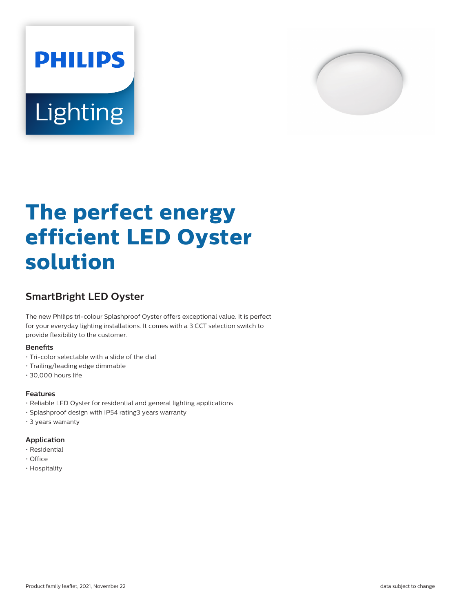



# **The perfect energy efficient LED Oyster solution**

## **SmartBright LED Oyster**

The new Philips tri-colour Splashproof Oyster offers exceptional value. It is perfect for your everyday lighting installations. It comes with a 3 CCT selection switch to provide flexibility to the customer.

#### **Benefits**

- Tri-color selectable with a slide of the dial
- Trailing/leading edge dimmable
- 30,000 hours life

#### **Features**

- Reliable LED Oyster for residential and general lighting applications
- Splashproof design with IP54 rating3 years warranty
- 3 years warranty

#### **Application**

- Residential
- Office
- Hospitality